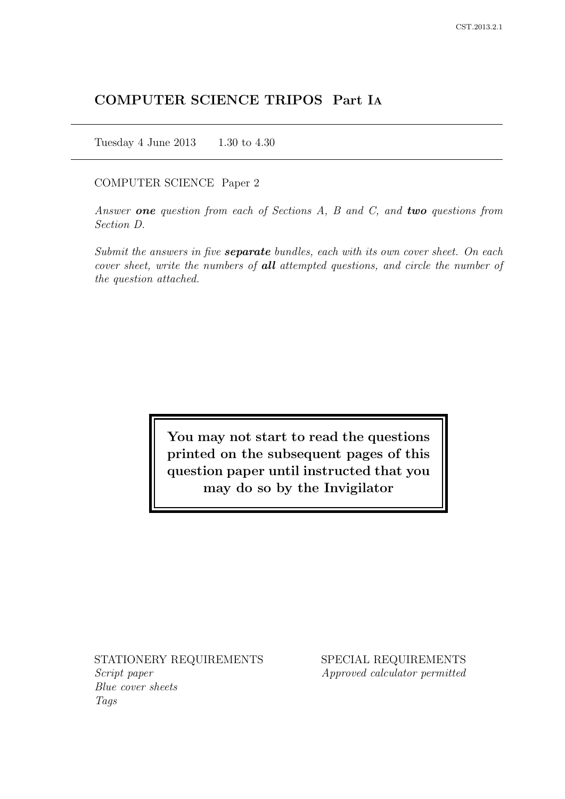# COMPUTER SCIENCE TRIPOS Part IA

Tuesday 4 June 2013 1.30 to 4.30

#### COMPUTER SCIENCE Paper 2

Answer one question from each of Sections  $A$ ,  $B$  and  $C$ , and two questions from Section D.

Submit the answers in five **separate** bundles, each with its own cover sheet. On each cover sheet, write the numbers of **all** attempted questions, and circle the number of the question attached.

> You may not start to read the questions printed on the subsequent pages of this question paper until instructed that you may do so by the Invigilator

STATIONERY REQUIREMENTS Script paper

Blue cover sheets Tags

SPECIAL REQUIREMENTS Approved calculator permitted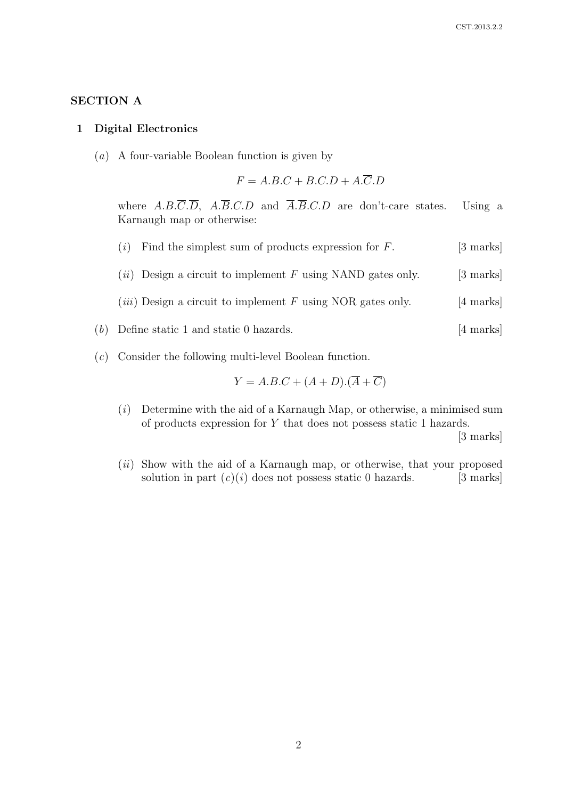## SECTION A

#### 1 Digital Electronics

(a) A four-variable Boolean function is given by

$$
F = A.B.C + B.C.D + A.\overline{C}.D
$$

where  $A.B.\overline{C}.\overline{D}$ ,  $A.\overline{B}.C.D$  and  $\overline{A}.\overline{B}.\overline{C}.\overline{D}$  are don't-care states. Using a Karnaugh map or otherwise:

- (i) Find the simplest sum of products expression for  $F$ . [3 marks]
- (*ii*) Design a circuit to implement F using NAND gates only. [3 marks]
- (*iii*) Design a circuit to implement F using NOR gates only. [4 marks]
- (b) Define static 1 and static 0 hazards. [4 marks]
- (c) Consider the following multi-level Boolean function.

$$
Y = A.B.C + (A + D).(\overline{A} + \overline{C})
$$

 $(i)$  Determine with the aid of a Karnaugh Map, or otherwise, a minimised sum of products expression for Y that does not possess static 1 hazards.

[3 marks]

(*ii*) Show with the aid of a Karnaugh map, or otherwise, that your proposed solution in part  $(c)(i)$  does not possess static 0 hazards. [3 marks]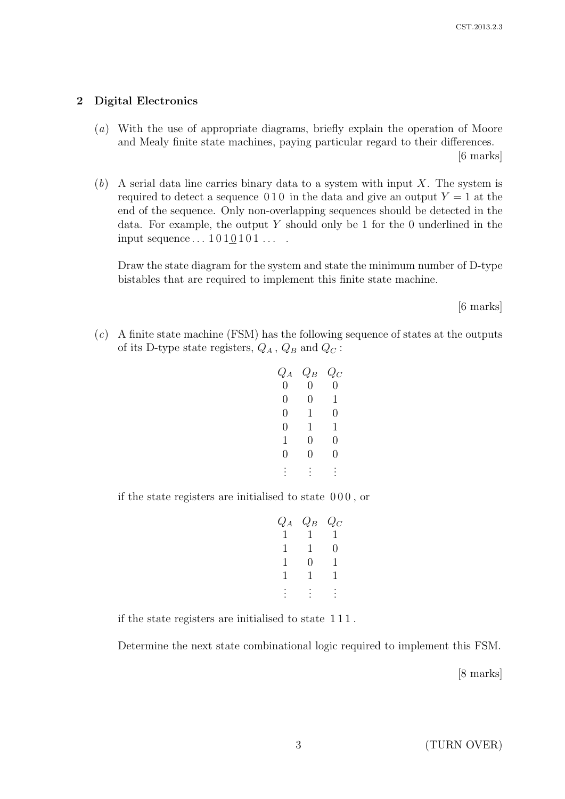## 2 Digital Electronics

(a) With the use of appropriate diagrams, briefly explain the operation of Moore and Mealy finite state machines, paying particular regard to their differences.

[6 marks]

 $(b)$  A serial data line carries binary data to a system with input X. The system is required to detect a sequence 0.10 in the data and give an output  $Y = 1$  at the end of the sequence. Only non-overlapping sequences should be detected in the data. For example, the output  $Y$  should only be 1 for the 0 underlined in the input sequence  $\dots$  1010101 $\dots$ .

Draw the state diagram for the system and state the minimum number of D-type bistables that are required to implement this finite state machine.

[6 marks]

 $(c)$  A finite state machine (FSM) has the following sequence of states at the outputs of its D-type state registers,  $Q_A$ ,  $Q_B$  and  $Q_C$ :

| $Q_A$          | $Q_B$ | $Q_C$ |
|----------------|-------|-------|
| $\overline{0}$ | 0     | 0     |
| 0              | 0     | 1     |
| 0              | 1     | 0     |
| 0              | 1     | 1     |
| 1              | 0     | 0     |
| 0              | 0     | 0     |
|                |       |       |
|                |       |       |

if the state registers are initialised to state 0 0 0 , or

$$
\begin{array}{cccc}\nQ_A & Q_B & Q_C \\
1 & 1 & 1 & 1 \\
1 & 1 & 0 & 1 \\
1 & 0 & 1 & 1 \\
1 & 1 & 1 & 1 \\
\vdots & \vdots & \vdots & \vdots\n\end{array}
$$

if the state registers are initialised to state 1 1 1 .

Determine the next state combinational logic required to implement this FSM.

[8 marks]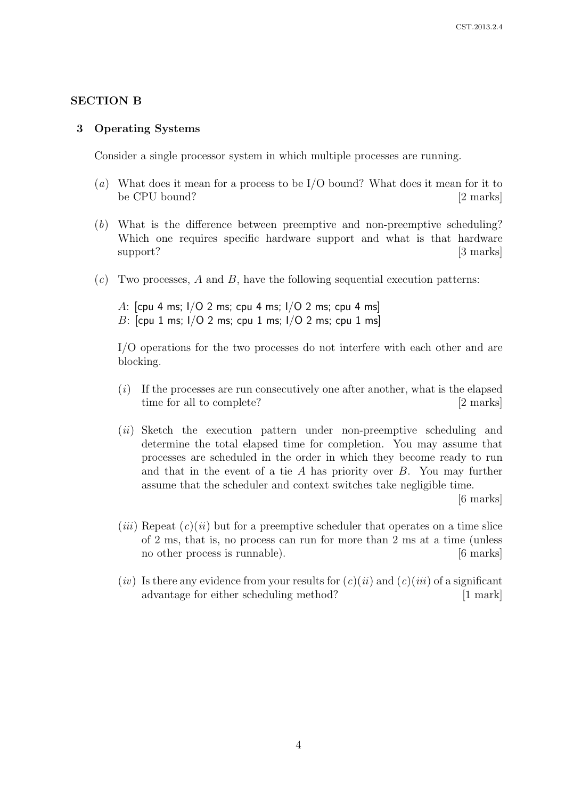## SECTION B

#### 3 Operating Systems

Consider a single processor system in which multiple processes are running.

- (a) What does it mean for a process to be I/O bound? What does it mean for it to be CPU bound? [2 marks]
- (b) What is the difference between preemptive and non-preemptive scheduling? Which one requires specific hardware support and what is that hardware support? [3 marks]
- $(c)$  Two processes, A and B, have the following sequential execution patterns:

A: [cpu 4 ms; I/O 2 ms; cpu 4 ms; I/O 2 ms; cpu 4 ms] B:  $[cpu 1 ms; I/O 2 ms; cpu 1 ms; I/O 2 ms; I/O 2 ms; I/O 2 ms]$ 

I/O operations for the two processes do not interfere with each other and are blocking.

- (i) If the processes are run consecutively one after another, what is the elapsed time for all to complete? [2 marks]
- (*ii*) Sketch the execution pattern under non-preemptive scheduling and determine the total elapsed time for completion. You may assume that processes are scheduled in the order in which they become ready to run and that in the event of a tie  $A$  has priority over  $B$ . You may further assume that the scheduler and context switches take negligible time.

[6 marks]

- (*iii*) Repeat  $(c)(ii)$  but for a preemptive scheduler that operates on a time slice of 2 ms, that is, no process can run for more than 2 ms at a time (unless no other process is runnable). [6 marks]
- (*iv*) Is there any evidence from your results for  $(c)(ii)$  and  $(c)(iii)$  of a significant advantage for either scheduling method? [1 mark]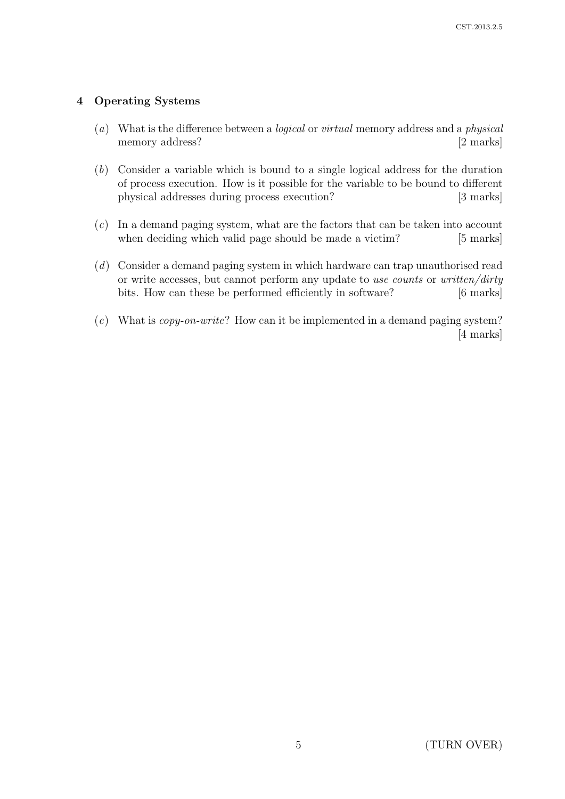## 4 Operating Systems

- (a) What is the difference between a logical or virtual memory address and a physical memory address? [2 marks]
- (b) Consider a variable which is bound to a single logical address for the duration of process execution. How is it possible for the variable to be bound to different physical addresses during process execution? [3 marks]
- $(c)$  In a demand paging system, what are the factors that can be taken into account when deciding which valid page should be made a victim? [5 marks]
- (d) Consider a demand paging system in which hardware can trap unauthorised read or write accesses, but cannot perform any update to use counts or written/dirty bits. How can these be performed efficiently in software? [6 marks]
- (e) What is copy-on-write? How can it be implemented in a demand paging system? [4 marks]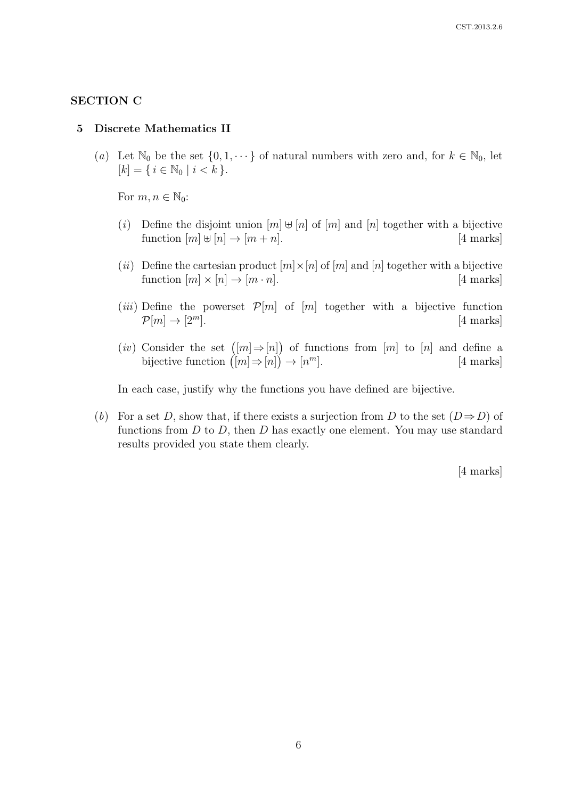## SECTION C

#### 5 Discrete Mathematics II

(a) Let  $\mathbb{N}_0$  be the set  $\{0, 1, \dots\}$  of natural numbers with zero and, for  $k \in \mathbb{N}_0$ , let  $[k] = \{ i \in \mathbb{N}_0 \mid i < k \}.$ 

For  $m, n \in \mathbb{N}_0$ :

- (i) Define the disjoint union  $[m] \oplus [n]$  of  $[m]$  and  $[n]$  together with a bijective function  $[m] \uplus [n] \rightarrow [m+n]$ . [4 marks]
- (ii) Define the cartesian product  $[m] \times [n]$  of  $[m]$  and  $[n]$  together with a bijective function  $[m] \times [n] \rightarrow [m \cdot n]$ . [4 marks]
- (*iii*) Define the powerset  $\mathcal{P}[m]$  of  $[m]$  together with a bijective function  $\mathcal{P}[m] \to [2^m]$ . [4 marks]
- $(iv)$  Consider the set  $([m] \Rightarrow [n])$  of functions from  $[m]$  to  $[n]$  and define a bijective function  $([m] \Rightarrow [n]) \rightarrow [n]$ [4 marks]

In each case, justify why the functions you have defined are bijective.

(b) For a set D, show that, if there exists a surjection from D to the set  $(D \Rightarrow D)$  of functions from  $D$  to  $D$ , then  $D$  has exactly one element. You may use standard results provided you state them clearly.

[4 marks]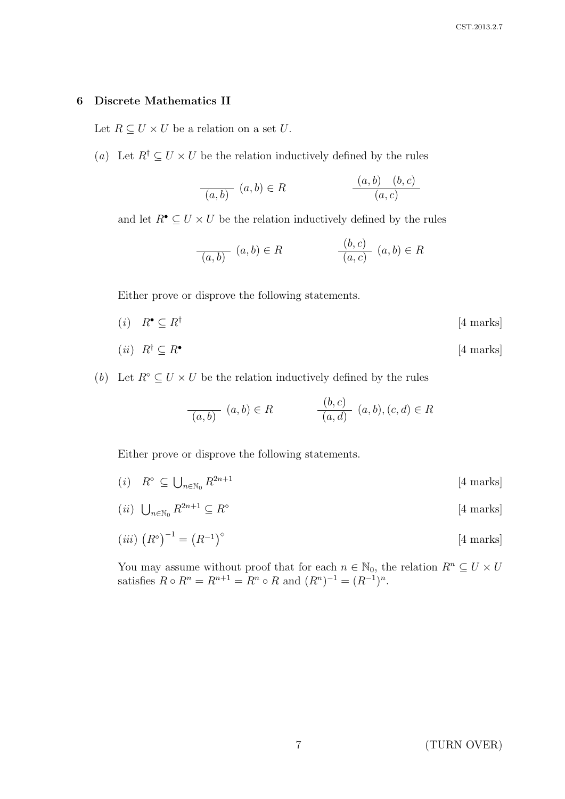### 6 Discrete Mathematics II

Let  $R \subseteq U \times U$  be a relation on a set U.

(a) Let  $R^{\dagger} \subseteq U \times U$  be the relation inductively defined by the rules

$$
\frac{(a,b)}{(a,b)} (a,b) \in R
$$
\n
$$
\frac{(a,b)}{(a,c)}
$$

and let  $R^{\bullet} \subseteq U \times U$  be the relation inductively defined by the rules

$$
\frac{(b,c)}{(a,b)} (a,b) \in R \qquad \qquad \frac{(b,c)}{(a,c)} (a,b) \in R
$$

Either prove or disprove the following statements.

 $(i)$   $R^{\bullet} \subseteq R^{\dagger}$ [4 marks]

$$
(ii) \ \ R^{\dagger} \subseteq R^{\bullet} \tag{4 marks}
$$

(b) Let  $R^{\circ} \subseteq U \times U$  be the relation inductively defined by the rules

$$
\frac{(b,c)}{(a,b)} (a,b) \in R \qquad \qquad \frac{(b,c)}{(a,d)} (a,b), (c,d) \in R
$$

Either prove or disprove the following statements.

- $(i)$   $R^{\diamond} \subseteq \bigcup_{n \in \mathbb{N}_0}$  $[4$  marks]
- (*ii*)  $\bigcup_{n\in\mathbb{N}_0} R^{2n+1} \subseteq R^{\diamond}$ [4 marks]

$$
(iii) \ \left(R^{\diamond}\right)^{-1} = \left(R^{-1}\right)^{\diamond} \tag{4 marks}
$$

You may assume without proof that for each  $n \in \mathbb{N}_0$ , the relation  $R^n \subseteq U \times U$ satisfies  $R \circ R^n = R^{n+1} = R^n \circ R$  and  $(R^n)^{-1} = (R^{-1})^n$ .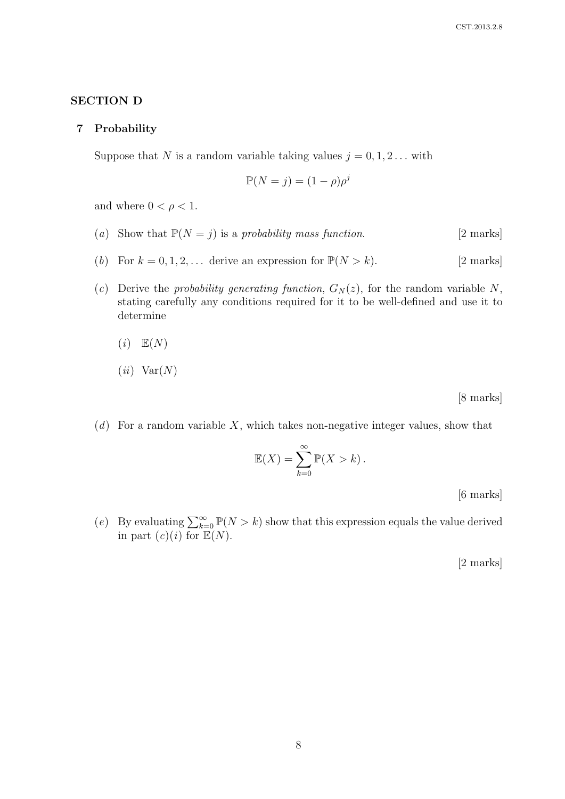## SECTION D

#### 7 Probability

Suppose that N is a random variable taking values  $j = 0, 1, 2...$  with

$$
\mathbb{P}(N=j) = (1-\rho)\rho^j
$$

and where  $0 < \rho < 1$ .

- (a) Show that  $\mathbb{P}(N = j)$  is a probability mass function. [2 marks]
- (b) For  $k = 0, 1, 2, \ldots$  derive an expression for  $\mathbb{P}(N > k)$ . [2 marks]
- (c) Derive the probability generating function,  $G_N(z)$ , for the random variable N, stating carefully any conditions required for it to be well-defined and use it to determine

$$
(i) \quad \mathbb{E}(N)
$$

$$
(ii) \ \ \text{Var}(N)
$$

[8 marks]

 $(d)$  For a random variable X, which takes non-negative integer values, show that

$$
\mathbb{E}(X) = \sum_{k=0}^{\infty} \mathbb{P}(X > k).
$$

[6 marks]

(e) By evaluating  $\sum_{k=0}^{\infty} \mathbb{P}(N > k)$  show that this expression equals the value derived in part  $(c)(i)$  for  $\mathbb{E}(N)$ .

[2 marks]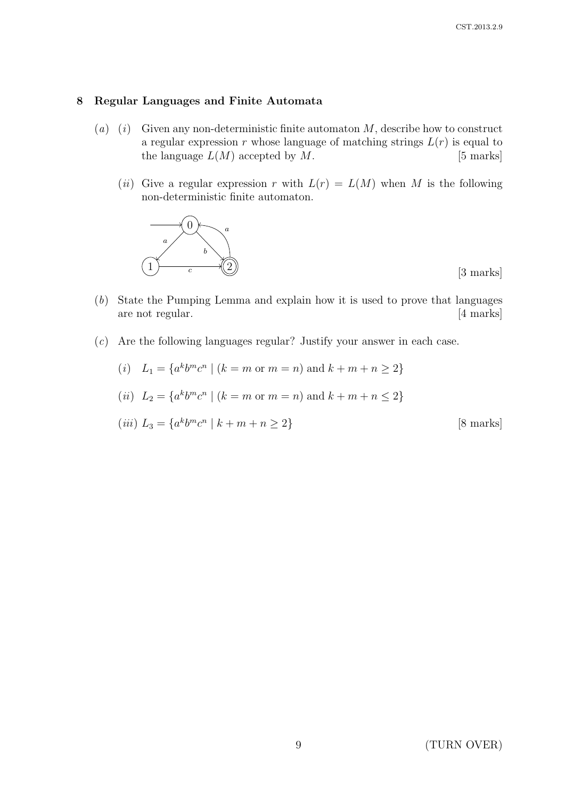### 8 Regular Languages and Finite Automata

- (a) (i) Given any non-deterministic finite automaton  $M$ , describe how to construct a regular expression r whose language of matching strings  $L(r)$  is equal to the language  $L(M)$  accepted by  $M$ . [5 marks]
	- (ii) Give a regular expression r with  $L(r) = L(M)$  when M is the following non-deterministic finite automaton.



[3 marks]

- (b) State the Pumping Lemma and explain how it is used to prove that languages are not regular. [4 marks]
- (c) Are the following languages regular? Justify your answer in each case.

(i) 
$$
L_1 = \{a^k b^m c^n \mid (k = m \text{ or } m = n) \text{ and } k + m + n \ge 2\}
$$

(*ii*) 
$$
L_2 = \{a^k b^m c^n \mid (k = m \text{ or } m = n) \text{ and } k + m + n \le 2\}
$$

$$
(iii) L3 = {akbmcn | k + m + n \ge 2}
$$
 [8 marks]